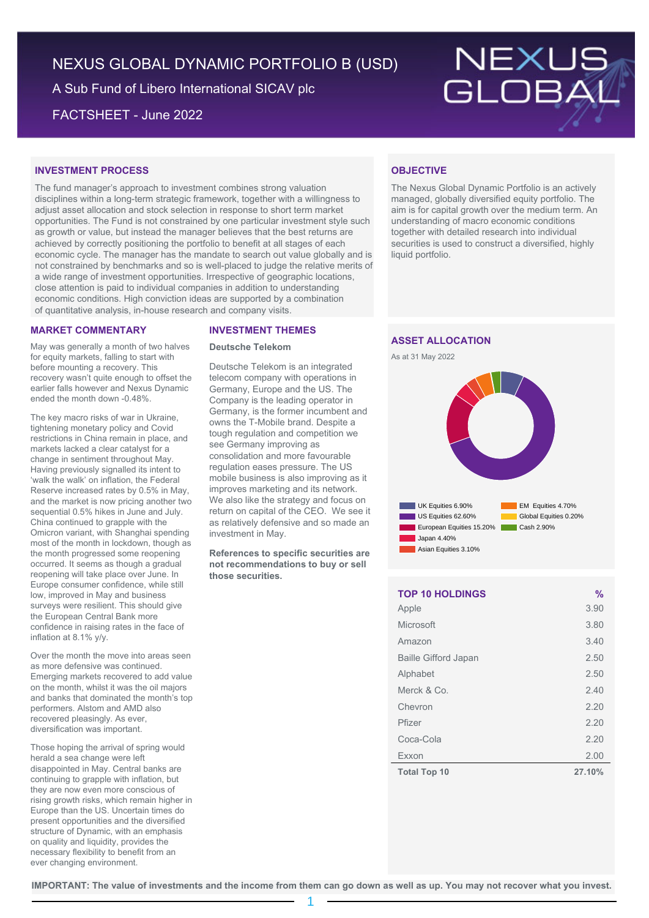# NEXUS GLOBAL DYNAMIC PORTFOLIO B (USD)

A Sub Fund of Libero International SICAV plc

FACTSHEET - June 2022



# **INVESTMENT PROCESS**

The fund manager's approach to investment combines strong valuation disciplines within a long-term strategic framework, together with a willingness to adjust asset allocation and stock selection in response to short term market opportunities. The Fund is not constrained by one particular investment style such as growth or value, but instead the manager believes that the best returns are achieved by correctly positioning the portfolio to benefit at all stages of each economic cycle. The manager has the mandate to search out value globally and is not constrained by benchmarks and so is well-placed to judge the relative merits of a wide range of investment opportunities. Irrespective of geographic locations, close attention is paid to individual companies in addition to understanding economic conditions. High conviction ideas are supported by a combination of quantitative analysis, in-house research and company visits.

## **MARKET COMMENTARY**

May was generally a month of two halves for equity markets, falling to start with before mounting a recovery. This recovery wasn't quite enough to offset the earlier falls however and Nexus Dynamic ended the month down -0.48%.

The key macro risks of war in Ukraine, tightening monetary policy and Covid restrictions in China remain in place, and markets lacked a clear catalyst for a change in sentiment throughout May. Having previously signalled its intent to 'walk the walk' on inflation, the Federal Reserve increased rates by 0.5% in May, and the market is now pricing another two sequential 0.5% hikes in June and July. China continued to grapple with the Omicron variant, with Shanghai spending most of the month in lockdown, though as the month progressed some reopening occurred. It seems as though a gradual reopening will take place over June. In Europe consumer confidence, while still low, improved in May and business surveys were resilient. This should give the European Central Bank more confidence in raising rates in the face of inflation at 8.1% y/y.

Over the month the move into areas seen as more defensive was continued. Emerging markets recovered to add value on the month, whilst it was the oil majors and banks that dominated the month's top performers. Alstom and AMD also recovered pleasingly. As ever, diversification was important.

Those hoping the arrival of spring would herald a sea change were left disappointed in May. Central banks are continuing to grapple with inflation, but they are now even more conscious of rising growth risks, which remain higher in Europe than the US. Uncertain times do present opportunities and the diversified structure of Dynamic, with an emphasis on quality and liquidity, provides the necessary flexibility to benefit from an ever changing environment.

### **INVESTMENT THEMES**

### **Deutsche Telekom**

Deutsche Telekom is an integrated telecom company with operations in Germany, Europe and the US. The Company is the leading operator in Germany, is the former incumbent and owns the T-Mobile brand. Despite a tough regulation and competition we see Germany improving as consolidation and more favourable regulation eases pressure. The US mobile business is also improving as it improves marketing and its network. We also like the strategy and focus on return on capital of the CEO. We see it as relatively defensive and so made an investment in May.

**References to specific securities are not recommendations to buy or sell those securities.**

# **OBJECTIVE**

The Nexus Global Dynamic Portfolio is an actively managed, globally diversified equity portfolio. The aim is for capital growth over the medium term. An understanding of macro economic conditions together with detailed research into individual securities is used to construct a diversified, highly liquid portfolio.

# **ASSET ALLOCATION**





| <b>TOP 10 HOLDINGS</b>      | $\%$   |
|-----------------------------|--------|
| Apple                       | 3.90   |
| Microsoft                   | 3.80   |
| Amazon                      | 3.40   |
| <b>Baille Gifford Japan</b> | 2.50   |
| Alphabet                    | 2.50   |
| Merck & Co.                 | 2.40   |
| Chevron                     | 2.20   |
| Pfizer                      | 2.20   |
| Coca-Cola                   | 2.20   |
| Exxon                       | 2.00   |
| <b>Total Top 10</b>         | 27.10% |

**IMPORTANT: The value of investments and the income from them can go down as well as up. You may not recover what you invest.**

1